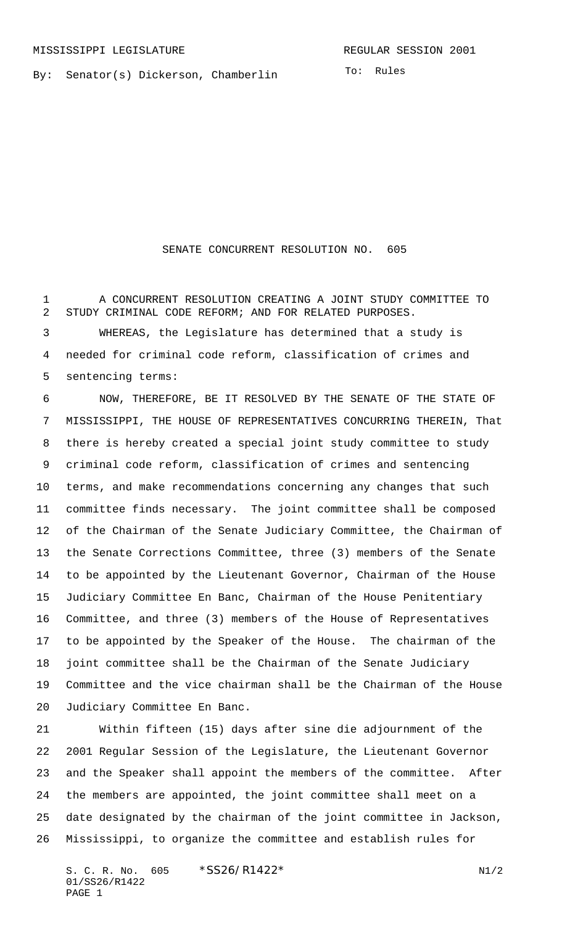By: Senator(s) Dickerson, Chamberlin

## SENATE CONCURRENT RESOLUTION NO. 605

 A CONCURRENT RESOLUTION CREATING A JOINT STUDY COMMITTEE TO STUDY CRIMINAL CODE REFORM; AND FOR RELATED PURPOSES.

 WHEREAS, the Legislature has determined that a study is needed for criminal code reform, classification of crimes and sentencing terms:

 NOW, THEREFORE, BE IT RESOLVED BY THE SENATE OF THE STATE OF MISSISSIPPI, THE HOUSE OF REPRESENTATIVES CONCURRING THEREIN, That there is hereby created a special joint study committee to study criminal code reform, classification of crimes and sentencing terms, and make recommendations concerning any changes that such committee finds necessary. The joint committee shall be composed of the Chairman of the Senate Judiciary Committee, the Chairman of the Senate Corrections Committee, three (3) members of the Senate to be appointed by the Lieutenant Governor, Chairman of the House Judiciary Committee En Banc, Chairman of the House Penitentiary Committee, and three (3) members of the House of Representatives to be appointed by the Speaker of the House. The chairman of the joint committee shall be the Chairman of the Senate Judiciary Committee and the vice chairman shall be the Chairman of the House Judiciary Committee En Banc.

 Within fifteen (15) days after sine die adjournment of the 2001 Regular Session of the Legislature, the Lieutenant Governor and the Speaker shall appoint the members of the committee. After the members are appointed, the joint committee shall meet on a date designated by the chairman of the joint committee in Jackson, Mississippi, to organize the committee and establish rules for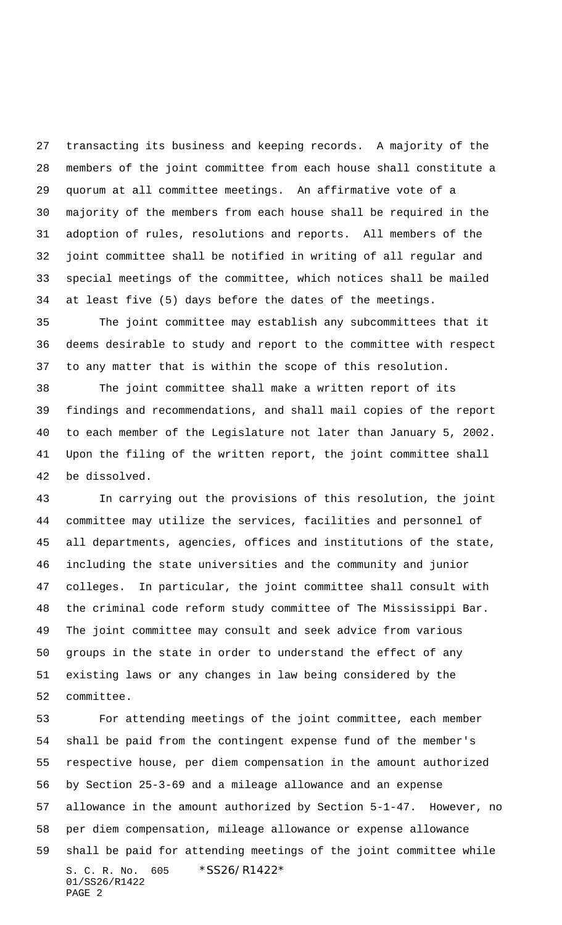transacting its business and keeping records. A majority of the members of the joint committee from each house shall constitute a quorum at all committee meetings. An affirmative vote of a majority of the members from each house shall be required in the adoption of rules, resolutions and reports. All members of the joint committee shall be notified in writing of all regular and special meetings of the committee, which notices shall be mailed at least five (5) days before the dates of the meetings.

 The joint committee may establish any subcommittees that it deems desirable to study and report to the committee with respect to any matter that is within the scope of this resolution.

 The joint committee shall make a written report of its findings and recommendations, and shall mail copies of the report to each member of the Legislature not later than January 5, 2002. Upon the filing of the written report, the joint committee shall be dissolved.

 In carrying out the provisions of this resolution, the joint committee may utilize the services, facilities and personnel of all departments, agencies, offices and institutions of the state, including the state universities and the community and junior colleges. In particular, the joint committee shall consult with the criminal code reform study committee of The Mississippi Bar. The joint committee may consult and seek advice from various groups in the state in order to understand the effect of any existing laws or any changes in law being considered by the committee.

S. C. R. No. 605 \*SS26/R1422\* 01/SS26/R1422 PAGE 2 For attending meetings of the joint committee, each member shall be paid from the contingent expense fund of the member's respective house, per diem compensation in the amount authorized by Section 25-3-69 and a mileage allowance and an expense allowance in the amount authorized by Section 5-1-47. However, no per diem compensation, mileage allowance or expense allowance shall be paid for attending meetings of the joint committee while